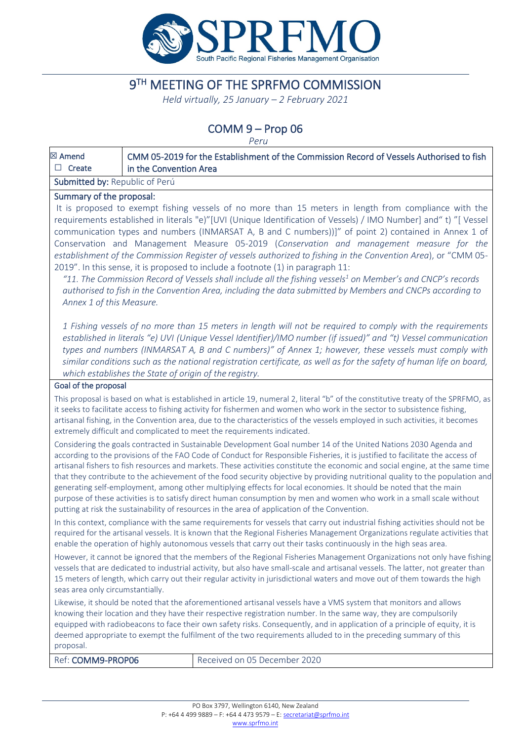

# 9TH MEETING OF THE SPRFMO COMMISSION

*Held virtually, 25 January – 2 February 2021*

## COMM 9 – Prop 06

*Peru*

|                                                                                                                                                                                                                                                                                                                                                                                                                                                                                                                                                                                                                                                                                                                                                                                                                                                                    |                        | $1$ c $1$ U                                                                                                                                                                                                                                                                                                                                                                                                                                                                                                                                                                                                                                                                                                                                                                                                                                                       |  |  |
|--------------------------------------------------------------------------------------------------------------------------------------------------------------------------------------------------------------------------------------------------------------------------------------------------------------------------------------------------------------------------------------------------------------------------------------------------------------------------------------------------------------------------------------------------------------------------------------------------------------------------------------------------------------------------------------------------------------------------------------------------------------------------------------------------------------------------------------------------------------------|------------------------|-------------------------------------------------------------------------------------------------------------------------------------------------------------------------------------------------------------------------------------------------------------------------------------------------------------------------------------------------------------------------------------------------------------------------------------------------------------------------------------------------------------------------------------------------------------------------------------------------------------------------------------------------------------------------------------------------------------------------------------------------------------------------------------------------------------------------------------------------------------------|--|--|
| ⊠ Amend<br>$\Box$ Create                                                                                                                                                                                                                                                                                                                                                                                                                                                                                                                                                                                                                                                                                                                                                                                                                                           | in the Convention Area | CMM 05-2019 for the Establishment of the Commission Record of Vessels Authorised to fish                                                                                                                                                                                                                                                                                                                                                                                                                                                                                                                                                                                                                                                                                                                                                                          |  |  |
|                                                                                                                                                                                                                                                                                                                                                                                                                                                                                                                                                                                                                                                                                                                                                                                                                                                                    |                        |                                                                                                                                                                                                                                                                                                                                                                                                                                                                                                                                                                                                                                                                                                                                                                                                                                                                   |  |  |
| Submitted by: Republic of Perú                                                                                                                                                                                                                                                                                                                                                                                                                                                                                                                                                                                                                                                                                                                                                                                                                                     |                        |                                                                                                                                                                                                                                                                                                                                                                                                                                                                                                                                                                                                                                                                                                                                                                                                                                                                   |  |  |
| Summary of the proposal:<br>Annex 1 of this Measure.                                                                                                                                                                                                                                                                                                                                                                                                                                                                                                                                                                                                                                                                                                                                                                                                               |                        | It is proposed to exempt fishing vessels of no more than 15 meters in length from compliance with the<br>requirements established in literals "e)"[UVI (Unique Identification of Vessels) / IMO Number] and "t) "[Vessel<br>communication types and numbers (INMARSAT A, B and C numbers))]" of point 2) contained in Annex 1 of<br>Conservation and Management Measure 05-2019 (Conservation and management measure for the<br>establishment of the Commission Register of vessels authorized to fishing in the Convention Area), or "CMM 05-<br>2019". In this sense, it is proposed to include a footnote (1) in paragraph 11:<br>"11. The Commission Record of Vessels shall include all the fishing vessels $^1$ on Member's and CNCP's records<br>authorised to fish in the Convention Area, including the data submitted by Members and CNCPs according to |  |  |
| 1 Fishing vessels of no more than 15 meters in length will not be required to comply with the requirements<br>established in literals "e) UVI (Unique Vessel Identifier)/IMO number (if issued)" and "t) Vessel communication<br>types and numbers (INMARSAT A, B and C numbers)" of Annex 1; however, these vessels must comply with<br>similar conditions such as the national registration certificate, as well as for the safety of human life on board,<br>which establishes the State of origin of the registry.                                                                                                                                                                                                                                                                                                                                             |                        |                                                                                                                                                                                                                                                                                                                                                                                                                                                                                                                                                                                                                                                                                                                                                                                                                                                                   |  |  |
| Goal of the proposal                                                                                                                                                                                                                                                                                                                                                                                                                                                                                                                                                                                                                                                                                                                                                                                                                                               |                        |                                                                                                                                                                                                                                                                                                                                                                                                                                                                                                                                                                                                                                                                                                                                                                                                                                                                   |  |  |
| This proposal is based on what is established in article 19, numeral 2, literal "b" of the constitutive treaty of the SPRFMO, as<br>it seeks to facilitate access to fishing activity for fishermen and women who work in the sector to subsistence fishing,<br>artisanal fishing, in the Convention area, due to the characteristics of the vessels employed in such activities, it becomes<br>extremely difficult and complicated to meet the requirements indicated.                                                                                                                                                                                                                                                                                                                                                                                            |                        |                                                                                                                                                                                                                                                                                                                                                                                                                                                                                                                                                                                                                                                                                                                                                                                                                                                                   |  |  |
| Considering the goals contracted in Sustainable Development Goal number 14 of the United Nations 2030 Agenda and<br>according to the provisions of the FAO Code of Conduct for Responsible Fisheries, it is justified to facilitate the access of<br>artisanal fishers to fish resources and markets. These activities constitute the economic and social engine, at the same time<br>that they contribute to the achievement of the food security objective by providing nutritional quality to the population and<br>generating self-employment, among other multiplying effects for local economies. It should be noted that the main<br>purpose of these activities is to satisfy direct human consumption by men and women who work in a small scale without<br>putting at risk the sustainability of resources in the area of application of the Convention. |                        |                                                                                                                                                                                                                                                                                                                                                                                                                                                                                                                                                                                                                                                                                                                                                                                                                                                                   |  |  |
| In this context, compliance with the same requirements for vessels that carry out industrial fishing activities should not be<br>required for the artisanal vessels. It is known that the Regional Fisheries Management Organizations regulate activities that<br>enable the operation of highly autonomous vessels that carry out their tasks continuously in the high seas area.                                                                                                                                                                                                                                                                                                                                                                                                                                                                                 |                        |                                                                                                                                                                                                                                                                                                                                                                                                                                                                                                                                                                                                                                                                                                                                                                                                                                                                   |  |  |
| However, it cannot be ignored that the members of the Regional Fisheries Management Organizations not only have fishing<br>vessels that are dedicated to industrial activity, but also have small-scale and artisanal vessels. The latter, not greater than<br>15 meters of length, which carry out their regular activity in jurisdictional waters and move out of them towards the high<br>seas area only circumstantially.                                                                                                                                                                                                                                                                                                                                                                                                                                      |                        |                                                                                                                                                                                                                                                                                                                                                                                                                                                                                                                                                                                                                                                                                                                                                                                                                                                                   |  |  |
| proposal.                                                                                                                                                                                                                                                                                                                                                                                                                                                                                                                                                                                                                                                                                                                                                                                                                                                          |                        | Likewise, it should be noted that the aforementioned artisanal vessels have a VMS system that monitors and allows<br>knowing their location and they have their respective registration number. In the same way, they are compulsorily<br>equipped with radiobeacons to face their own safety risks. Consequently, and in application of a principle of equity, it is<br>deemed appropriate to exempt the fulfilment of the two requirements alluded to in the preceding summary of this                                                                                                                                                                                                                                                                                                                                                                          |  |  |
| Ref: COMM9-PROP06                                                                                                                                                                                                                                                                                                                                                                                                                                                                                                                                                                                                                                                                                                                                                                                                                                                  |                        | Received on 05 December 2020                                                                                                                                                                                                                                                                                                                                                                                                                                                                                                                                                                                                                                                                                                                                                                                                                                      |  |  |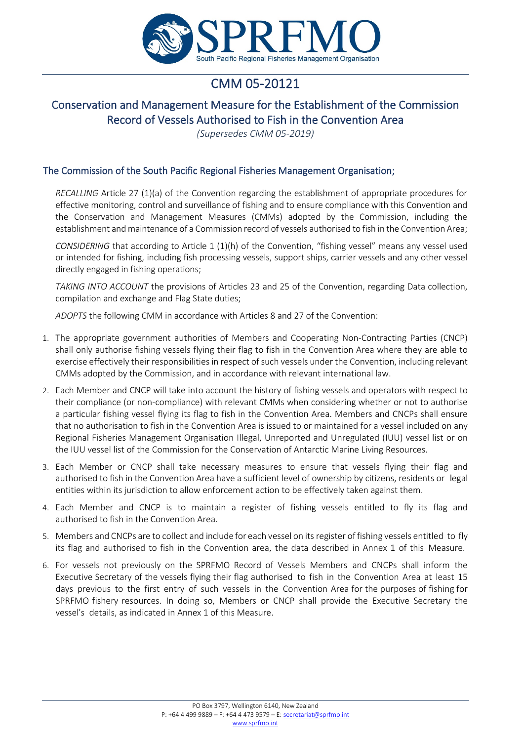

# CMM 05-20121

### Conservation and Management Measure for the Establishment of the Commission Record of Vessels Authorised to Fish in the Convention Area

*(Supersedes CMM 05-2019)*

#### The Commission of the South Pacific Regional Fisheries Management Organisation;

*RECALLING* Article 27 (1)(a) of the Convention regarding the establishment of appropriate procedures for effective monitoring, control and surveillance of fishing and to ensure compliance with this Convention and the Conservation and Management Measures (CMMs) adopted by the Commission, including the establishment and maintenance of a Commission record of vessels authorised to fish in the Convention Area;

*CONSIDERING* that according to Article 1 (1)(h) of the Convention, "fishing vessel" means any vessel used or intended for fishing, including fish processing vessels, support ships, carrier vessels and any other vessel directly engaged in fishing operations;

*TAKING INTO ACCOUNT* the provisions of Articles 23 and 25 of the Convention, regarding Data collection, compilation and exchange and Flag State duties;

*ADOPTS* the following CMM in accordance with Articles 8 and 27 of the Convention:

- 1. The appropriate government authorities of Members and Cooperating Non-Contracting Parties (CNCP) shall only authorise fishing vessels flying their flag to fish in the Convention Area where they are able to exercise effectively their responsibilities in respect of such vessels under the Convention, including relevant CMMs adopted by the Commission, and in accordance with relevant international law.
- 2. Each Member and CNCP will take into account the history of fishing vessels and operators with respect to their compliance (or non-compliance) with relevant CMMs when considering whether or not to authorise a particular fishing vessel flying its flag to fish in the Convention Area. Members and CNCPs shall ensure that no authorisation to fish in the Convention Area is issued to or maintained for a vessel included on any Regional Fisheries Management Organisation Illegal, Unreported and Unregulated (IUU) vessel list or on the IUU vessel list of the Commission for the Conservation of Antarctic Marine Living Resources.
- 3. Each Member or CNCP shall take necessary measures to ensure that vessels flying their flag and authorised to fish in the Convention Area have a sufficient level of ownership by citizens, residents or legal entities within its jurisdiction to allow enforcement action to be effectively taken against them.
- 4. Each Member and CNCP is to maintain a register of fishing vessels entitled to fly its flag and authorised to fish in the Convention Area.
- 5. Members and CNCPs are to collect and include for each vessel on its register of fishing vessels entitled to fly its flag and authorised to fish in the Convention area, the data described in Annex 1 of this Measure.
- 6. For vessels not previously on the SPRFMO Record of Vessels Members and CNCPs shall inform the Executive Secretary of the vessels flying their flag authorised to fish in the Convention Area at least 15 days previous to the first entry of such vessels in the Convention Area for the purposes of fishing for SPRFMO fishery resources. In doing so, Members or CNCP shall provide the Executive Secretary the vessel's details, as indicated in Annex 1 of this Measure.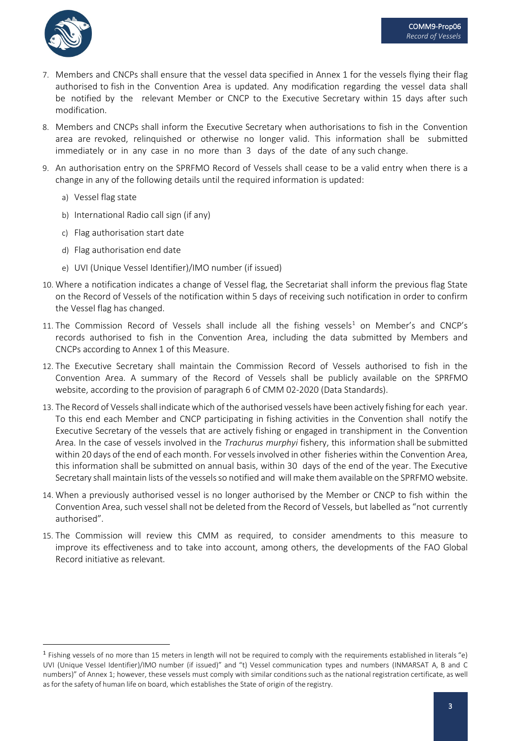

- 7. Members and CNCPs shall ensure that the vessel data specified in Annex 1 for the vessels flying their flag authorised to fish in the Convention Area is updated. Any modification regarding the vessel data shall be notified by the relevant Member or CNCP to the Executive Secretary within 15 days after such modification.
- 8. Members and CNCPs shall inform the Executive Secretary when authorisations to fish in the Convention area are revoked, relinquished or otherwise no longer valid. This information shall be submitted immediately or in any case in no more than 3 days of the date of any such change.
- 9. An authorisation entry on the SPRFMO Record of Vessels shall cease to be a valid entry when there is a change in any of the following details until the required information is updated:
	- a) Vessel flag state
	- b) International Radio call sign (if any)
	- c) Flag authorisation start date
	- d) Flag authorisation end date
	- e) UVI (Unique Vessel Identifier)/IMO number (if issued)
- 10. Where a notification indicates a change of Vessel flag, the Secretariat shall inform the previous flag State on the Record of Vessels of the notification within 5 days of receiving such notification in order to confirm the Vessel flag has changed.
- [1](#page-2-0)1. The Commission Record of Vessels shall include all the fishing vessels<sup>1</sup> on Member's and CNCP's records authorised to fish in the Convention Area, including the data submitted by Members and CNCPs according to Annex 1 of this Measure.
- 12. The Executive Secretary shall maintain the Commission Record of Vessels authorised to fish in the Convention Area. A summary of the Record of Vessels shall be publicly available on the SPRFMO website, according to the provision of paragraph 6 of CMM 02-2020 (Data Standards).
- 13. The Record of Vessels shall indicate which of the authorised vessels have been actively fishing for each year. To this end each Member and CNCP participating in fishing activities in the Convention shall notify the Executive Secretary of the vessels that are actively fishing or engaged in transhipment in the Convention Area. In the case of vessels involved in the *Trachurus murphyi* fishery, this information shall be submitted within 20 days of the end of each month. For vesselsinvolved in other fisheries within the Convention Area, this information shall be submitted on annual basis, within 30 days of the end of the year. The Executive Secretary shall maintain lists of the vessels so notified and will make them available on the SPRFMO website.
- 14. When a previously authorised vessel is no longer authorised by the Member or CNCP to fish within the Convention Area, such vessel shall not be deleted from the Record of Vessels, but labelled as "not currently authorised".
- 15. The Commission will review this CMM as required, to consider amendments to this measure to improve its effectiveness and to take into account, among others, the developments of the FAO Global Record initiative as relevant.

<span id="page-2-0"></span><sup>1</sup> Fishing vessels of no more than 15 meters in length will not be required to comply with the requirements established in literals "e) UVI (Unique Vessel Identifier)/IMO number (if issued)" and "t) Vessel communication types and numbers (INMARSAT A, B and C numbers)" of Annex 1; however, these vessels must comply with similar conditionssuch as the national registration certificate, as well asfor the safety of human life on board, which establishes the State of origin of the registry.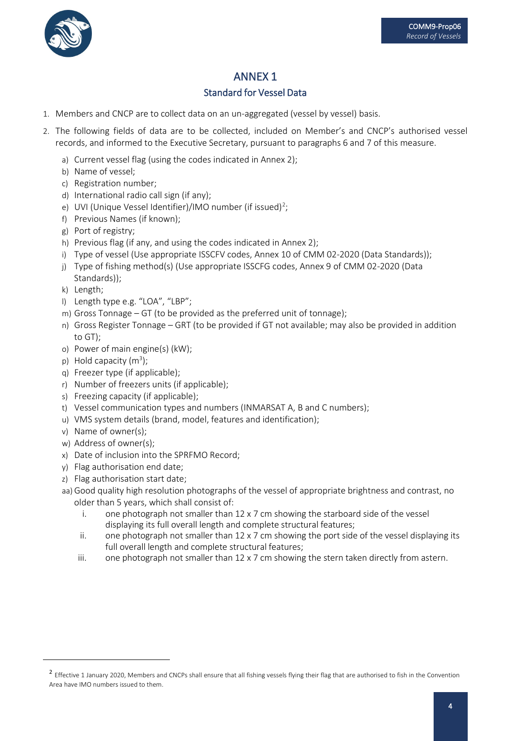

## ANNEX 1

### Standard for Vessel Data

- 1. Members and CNCP are to collect data on an un-aggregated (vessel by vessel) basis.
- 2. The following fields of data are to be collected, included on Member's and CNCP's authorised vessel records, and informed to the Executive Secretary, pursuant to paragraphs 6 and 7 of this measure.
	- a) Current vessel flag (using the codes indicated in Annex 2);
	- b) Name of vessel;
	- c) Registration number;
	- d) International radio call sign (if any);
	- e) UVI (Unique Vessel Identifier)/IMO number (if issued) $^2$  $^2$ ;
	- f) Previous Names (if known);
	- g) Port of registry;
	- h) Previous flag (if any, and using the codes indicated in Annex 2);
	- i) Type of vessel (Use appropriate ISSCFV codes, Annex 10 of CMM 02-2020 (Data Standards));
	- j) Type of fishing method(s) (Use appropriate ISSCFG codes, Annex 9 of CMM 02-2020 (Data Standards));
	- k) Length;
	- l) Length type e.g. "LOA", "LBP";
	- m) Gross Tonnage GT (to be provided as the preferred unit of tonnage);
	- n) Gross Register Tonnage GRT (to be provided if GT not available; may also be provided in addition to GT);
	- o) Power of main engine(s) (kW);
	- p) Hold capacity  $(m^3)$ ;
	- q) Freezer type (if applicable);
	- r) Number of freezers units (if applicable);
	- s) Freezing capacity (if applicable);
	- t) Vessel communication types and numbers (INMARSAT A, B and C numbers);
	- u) VMS system details (brand, model, features and identification);
	- v) Name of owner(s);
	- w) Address of owner(s);
	- x) Date of inclusion into the SPRFMO Record;
	- y) Flag authorisation end date;
	- z) Flag authorisation start date;
	- aa)Good quality high resolution photographs of the vessel of appropriate brightness and contrast, no older than 5 years, which shall consist of:
		- i. one photograph not smaller than  $12 \times 7$  cm showing the starboard side of the vessel displaying its full overall length and complete structural features;
		- ii. one photograph not smaller than  $12 \times 7$  cm showing the port side of the vessel displaying its full overall length and complete structural features;
		- iii. one photograph not smaller than  $12 \times 7$  cm showing the stern taken directly from astern.

<span id="page-3-0"></span><sup>&</sup>lt;sup>2</sup> Effective 1 January 2020, Members and CNCPs shall ensure that all fishing vessels flying their flag that are authorised to fish in the Convention Area have IMO numbers issued to them.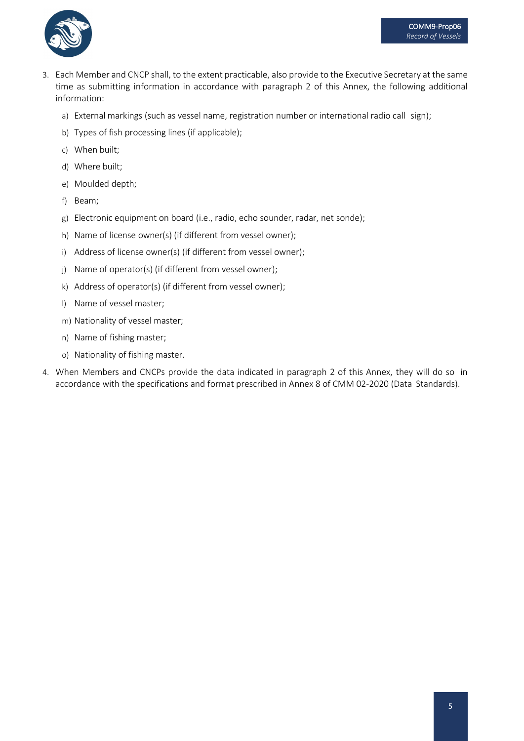

- 3. Each Member and CNCP shall, to the extent practicable, also provide to the Executive Secretary at the same time as submitting information in accordance with paragraph 2 of this Annex, the following additional information:
	- a) External markings (such as vessel name, registration number or international radio call sign);
	- b) Types of fish processing lines (if applicable);
	- c) When built;
	- d) Where built;
	- e) Moulded depth;
	- f) Beam;
	- g) Electronic equipment on board (i.e., radio, echo sounder, radar, net sonde);
	- h) Name of license owner(s) (if different from vessel owner);
	- i) Address of license owner(s) (if different from vessel owner);
	- j) Name of operator(s) (if different from vessel owner);
	- k) Address of operator(s) (if different from vessel owner);
	- l) Name of vessel master;
	- m) Nationality of vessel master;
	- n) Name of fishing master;
	- o) Nationality of fishing master.
- 4. When Members and CNCPs provide the data indicated in paragraph 2 of this Annex, they will do so in accordance with the specifications and format prescribed in Annex 8 of CMM 02-2020 (Data Standards).